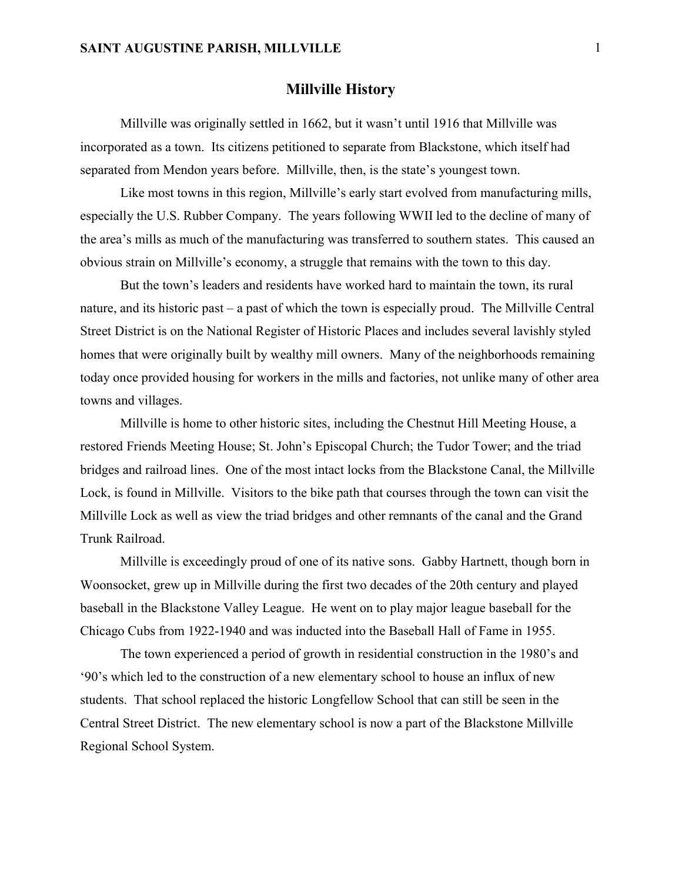#### Millville History

 Millville was originally settled in 1662, but it wasn't until 1916 that Millville was incorporated as a town. Its citizens petitioned to separate from Blackstone, which itself had separated from Mendon years before. Millville, then, is the state's youngest town.

 Like most towns in this region, Millville's early start evolved from manufacturing mills, especially the U.S. Rubber Company. The years following WWII led to the decline of many of the area's mills as much of the manufacturing was transferred to southern states. This caused an obvious strain on Millville's economy, a struggle that remains with the town to this day.

 But the town's leaders and residents have worked hard to maintain the town, its rural nature, and its historic past – a past of which the town is especially proud. The Millville Central Street District is on the National Register of Historic Places and includes several lavishly styled homes that were originally built by wealthy mill owners. Many of the neighborhoods remaining today once provided housing for workers in the mills and factories, not unlike many of other area towns and villages.

 Millville is home to other historic sites, including the Chestnut Hill Meeting House, a restored Friends Meeting House; St. John's Episcopal Church; the Tudor Tower; and the triad bridges and railroad lines. One of the most intact locks from the Blackstone Canal, the Millville Lock, is found in Millville. Visitors to the bike path that courses through the town can visit the Millville Lock as well as view the triad bridges and other remnants of the canal and the Grand Trunk Railroad.

 Millville is exceedingly proud of one of its native sons. Gabby Hartnett, though born in Woonsocket, grew up in Millville during the first two decades of the 20th century and played baseball in the Blackstone Valley League. He went on to play major league baseball for the Chicago Cubs from 1922-1940 and was inducted into the Baseball Hall of Fame in 1955.

 The town experienced a period of growth in residential construction in the 1980's and '90's which led to the construction of a new elementary school to house an influx of new students. That school replaced the historic Longfellow School that can still be seen in the Central Street District. The new elementary school is now a part of the Blackstone Millville Regional School System.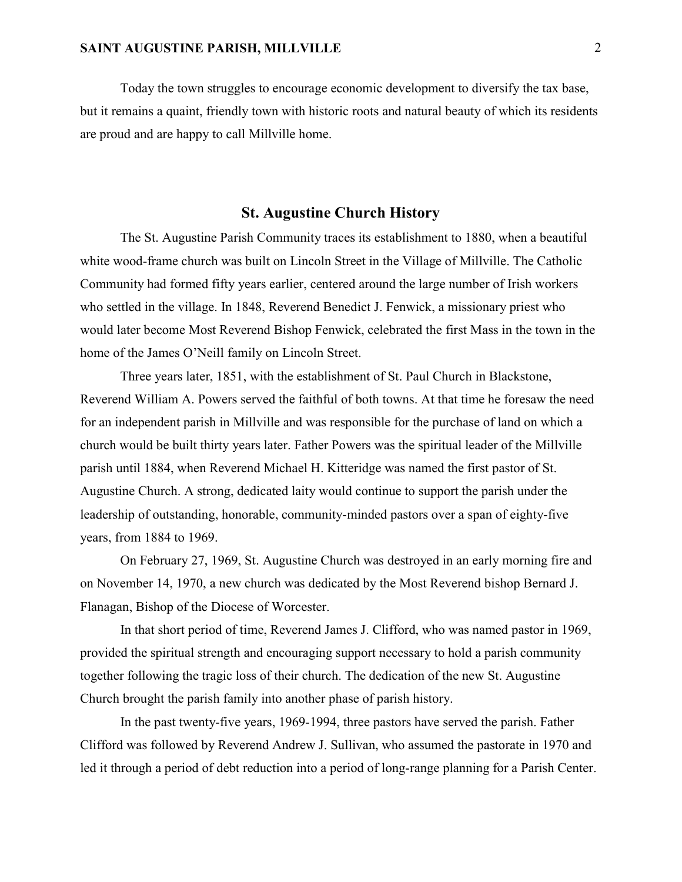Today the town struggles to encourage economic development to diversify the tax base, but it remains a quaint, friendly town with historic roots and natural beauty of which its residents are proud and are happy to call Millville home.

## St. Augustine Church History

The St. Augustine Parish Community traces its establishment to 1880, when a beautiful white wood-frame church was built on Lincoln Street in the Village of Millville. The Catholic Community had formed fifty years earlier, centered around the large number of Irish workers who settled in the village. In 1848, Reverend Benedict J. Fenwick, a missionary priest who would later become Most Reverend Bishop Fenwick, celebrated the first Mass in the town in the home of the James O'Neill family on Lincoln Street.

Three years later, 1851, with the establishment of St. Paul Church in Blackstone, Reverend William A. Powers served the faithful of both towns. At that time he foresaw the need for an independent parish in Millville and was responsible for the purchase of land on which a church would be built thirty years later. Father Powers was the spiritual leader of the Millville parish until 1884, when Reverend Michael H. Kitteridge was named the first pastor of St. Augustine Church. A strong, dedicated laity would continue to support the parish under the leadership of outstanding, honorable, community-minded pastors over a span of eighty-five years, from 1884 to 1969.

On February 27, 1969, St. Augustine Church was destroyed in an early morning fire and on November 14, 1970, a new church was dedicated by the Most Reverend bishop Bernard J. Flanagan, Bishop of the Diocese of Worcester.

In that short period of time, Reverend James J. Clifford, who was named pastor in 1969, provided the spiritual strength and encouraging support necessary to hold a parish community together following the tragic loss of their church. The dedication of the new St. Augustine Church brought the parish family into another phase of parish history.

In the past twenty-five years, 1969-1994, three pastors have served the parish. Father Clifford was followed by Reverend Andrew J. Sullivan, who assumed the pastorate in 1970 and led it through a period of debt reduction into a period of long-range planning for a Parish Center.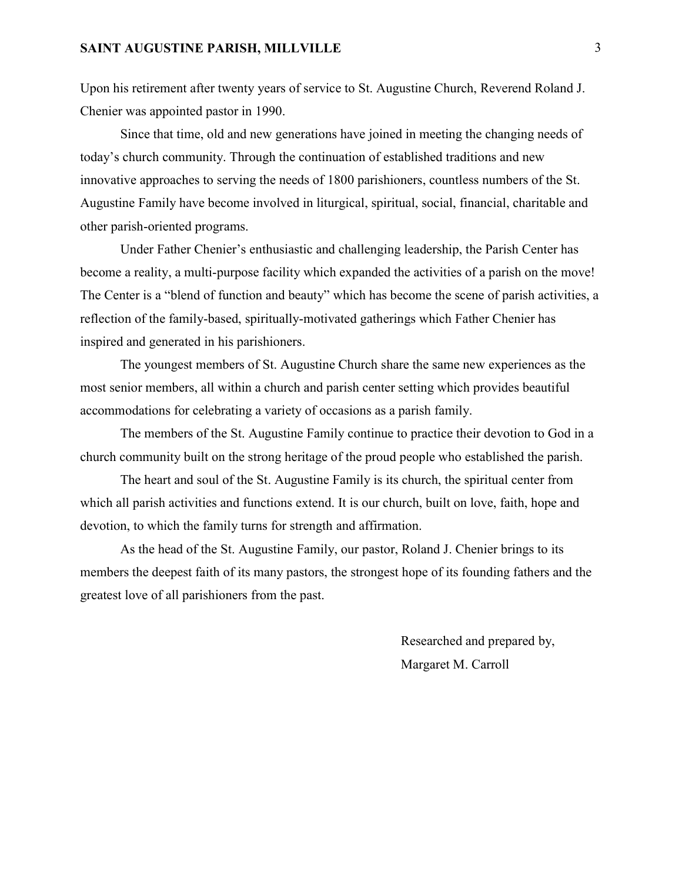Upon his retirement after twenty years of service to St. Augustine Church, Reverend Roland J. Chenier was appointed pastor in 1990.

Since that time, old and new generations have joined in meeting the changing needs of today's church community. Through the continuation of established traditions and new innovative approaches to serving the needs of 1800 parishioners, countless numbers of the St. Augustine Family have become involved in liturgical, spiritual, social, financial, charitable and other parish-oriented programs.

Under Father Chenier's enthusiastic and challenging leadership, the Parish Center has become a reality, a multi-purpose facility which expanded the activities of a parish on the move! The Center is a "blend of function and beauty" which has become the scene of parish activities, a reflection of the family-based, spiritually-motivated gatherings which Father Chenier has inspired and generated in his parishioners.

The youngest members of St. Augustine Church share the same new experiences as the most senior members, all within a church and parish center setting which provides beautiful accommodations for celebrating a variety of occasions as a parish family.

The members of the St. Augustine Family continue to practice their devotion to God in a church community built on the strong heritage of the proud people who established the parish.

The heart and soul of the St. Augustine Family is its church, the spiritual center from which all parish activities and functions extend. It is our church, built on love, faith, hope and devotion, to which the family turns for strength and affirmation.

As the head of the St. Augustine Family, our pastor, Roland J. Chenier brings to its members the deepest faith of its many pastors, the strongest hope of its founding fathers and the greatest love of all parishioners from the past.

> Researched and prepared by, Margaret M. Carroll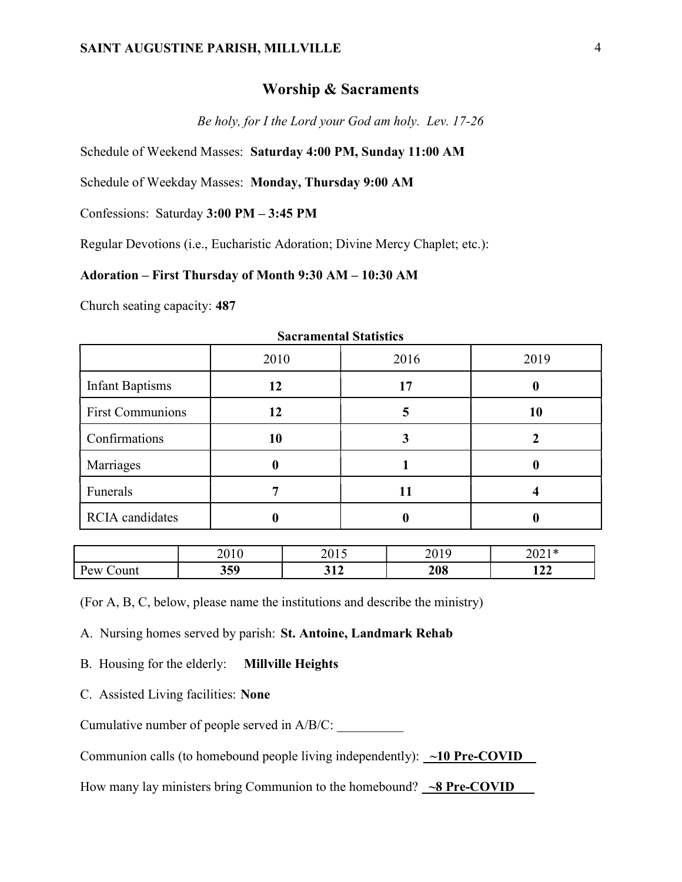#### Worship & Sacraments

Be holy, for I the Lord your God am holy. Lev. 17-26

Schedule of Weekend Masses: Saturday 4:00 PM, Sunday 11:00 AM

Schedule of Weekday Masses: Monday, Thursday 9:00 AM

Confessions: Saturday 3:00 PM – 3:45 PM

Regular Devotions (i.e., Eucharistic Adoration; Divine Mercy Chaplet; etc.):

### Adoration – First Thursday of Month 9:30 AM – 10:30 AM

Church seating capacity: 487

| Bacı alımında Biatistics |      |      |      |  |  |
|--------------------------|------|------|------|--|--|
|                          | 2010 | 2016 | 2019 |  |  |
| <b>Infant Baptisms</b>   | 12   | 17   |      |  |  |
| <b>First Communions</b>  | 12   |      | 10   |  |  |
| Confirmations            | 10   |      |      |  |  |
| Marriages                | 0    |      |      |  |  |
| Funerals                 |      |      |      |  |  |
| <b>RCIA</b> candidates   |      |      |      |  |  |

#### Sacramental Statistics

|              | 2010 | 2015       | າດ10<br>2013 | $2021$ $\star$<br>$\angle$ U $\angle$ 1 |
|--------------|------|------------|--------------|-----------------------------------------|
| Pew<br>∠ount | 359  | 214<br>◡▴▵ | 208          | $\rightarrow$ $\rightarrow$<br>144 L    |

(For A, B, C, below, please name the institutions and describe the ministry)

A. Nursing homes served by parish: St. Antoine, Landmark Rehab

B. Housing for the elderly: Millville Heights

C. Assisted Living facilities: None

Cumulative number of people served in  $A/B/C$ :

Communion calls (to homebound people living independently):  $\sim$ 10 Pre-COVID

How many lay ministers bring Communion to the homebound?  $\sim8$  Pre-COVID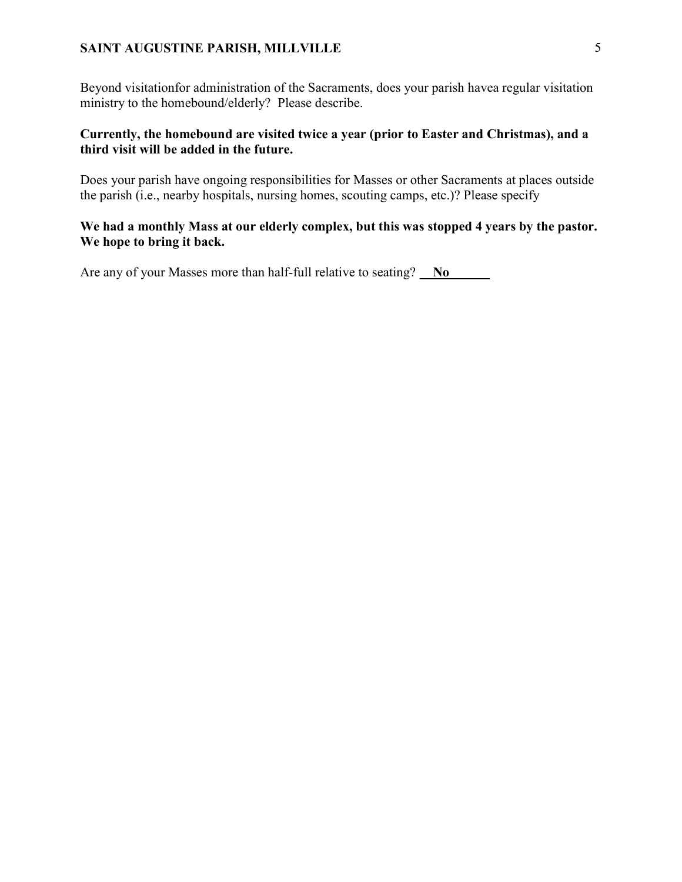Beyond visitationfor administration of the Sacraments, does your parish havea regular visitation ministry to the homebound/elderly? Please describe.

### Currently, the homebound are visited twice a year (prior to Easter and Christmas), and a third visit will be added in the future.

Does your parish have ongoing responsibilities for Masses or other Sacraments at places outside the parish (i.e., nearby hospitals, nursing homes, scouting camps, etc.)? Please specify

### We had a monthly Mass at our elderly complex, but this was stopped 4 years by the pastor. We hope to bring it back.

Are any of your Masses more than half-full relative to seating? No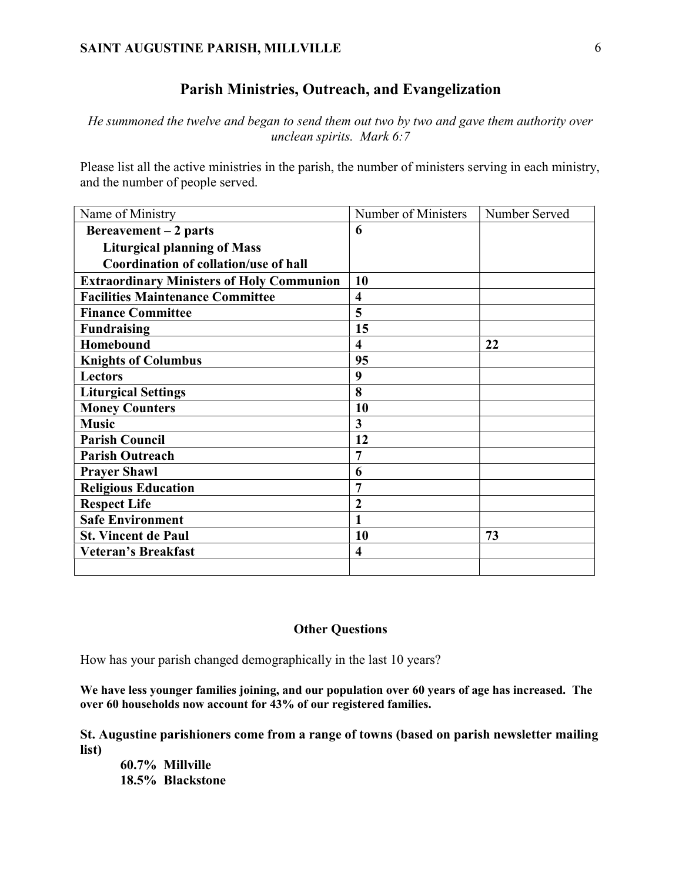## Parish Ministries, Outreach, and Evangelization

He summoned the twelve and began to send them out two by two and gave them authority over unclean spirits. Mark 6:7

Please list all the active ministries in the parish, the number of ministers serving in each ministry, and the number of people served.

| Name of Ministry                                 | Number of Ministers     | Number Served |
|--------------------------------------------------|-------------------------|---------------|
| Bereavement $-2$ parts                           | 6                       |               |
| <b>Liturgical planning of Mass</b>               |                         |               |
| Coordination of collation/use of hall            |                         |               |
| <b>Extraordinary Ministers of Holy Communion</b> | 10                      |               |
| <b>Facilities Maintenance Committee</b>          | $\overline{\mathbf{4}}$ |               |
| <b>Finance Committee</b>                         | 5                       |               |
| <b>Fundraising</b>                               | 15                      |               |
| Homebound                                        | $\overline{\mathbf{4}}$ | 22            |
| <b>Knights of Columbus</b>                       | 95                      |               |
| <b>Lectors</b>                                   | 9                       |               |
| <b>Liturgical Settings</b>                       | 8                       |               |
| <b>Money Counters</b>                            | 10                      |               |
| <b>Music</b>                                     | 3                       |               |
| <b>Parish Council</b>                            | 12                      |               |
| <b>Parish Outreach</b>                           | $\overline{7}$          |               |
| <b>Prayer Shawl</b>                              | 6                       |               |
| <b>Religious Education</b>                       | 7                       |               |
| <b>Respect Life</b>                              | $\overline{2}$          |               |
| <b>Safe Environment</b>                          | 1                       |               |
| <b>St. Vincent de Paul</b>                       | 10                      | 73            |
| <b>Veteran's Breakfast</b>                       | $\overline{\mathbf{4}}$ |               |
|                                                  |                         |               |

#### Other Questions

How has your parish changed demographically in the last 10 years?

We have less younger families joining, and our population over 60 years of age has increased. The over 60 households now account for 43% of our registered families.

St. Augustine parishioners come from a range of towns (based on parish newsletter mailing list)

60.7% Millville 18.5% Blackstone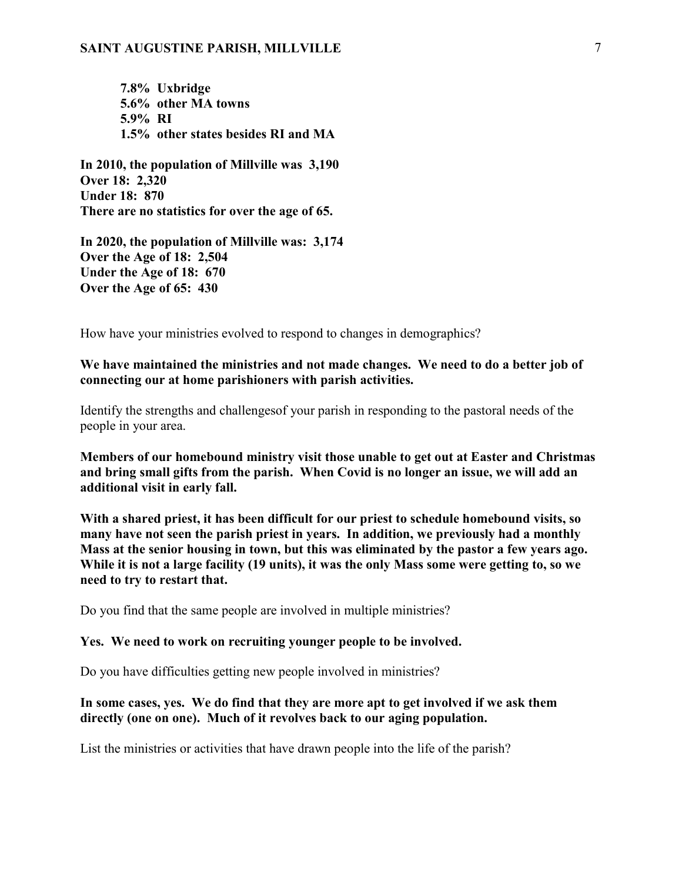7.8% Uxbridge 5.6% other MA towns 5.9% RI 1.5% other states besides RI and MA

In 2010, the population of Millville was 3,190 Over 18: 2,320 Under 18: 870 There are no statistics for over the age of 65.

In 2020, the population of Millville was: 3,174 Over the Age of 18: 2,504 Under the Age of 18: 670 Over the Age of 65: 430

How have your ministries evolved to respond to changes in demographics?

We have maintained the ministries and not made changes. We need to do a better job of connecting our at home parishioners with parish activities.

Identify the strengths and challengesof your parish in responding to the pastoral needs of the people in your area.

Members of our homebound ministry visit those unable to get out at Easter and Christmas and bring small gifts from the parish. When Covid is no longer an issue, we will add an additional visit in early fall.

With a shared priest, it has been difficult for our priest to schedule homebound visits, so many have not seen the parish priest in years. In addition, we previously had a monthly Mass at the senior housing in town, but this was eliminated by the pastor a few years ago. While it is not a large facility (19 units), it was the only Mass some were getting to, so we need to try to restart that.

Do you find that the same people are involved in multiple ministries?

#### Yes. We need to work on recruiting younger people to be involved.

Do you have difficulties getting new people involved in ministries?

#### In some cases, yes. We do find that they are more apt to get involved if we ask them directly (one on one). Much of it revolves back to our aging population.

List the ministries or activities that have drawn people into the life of the parish?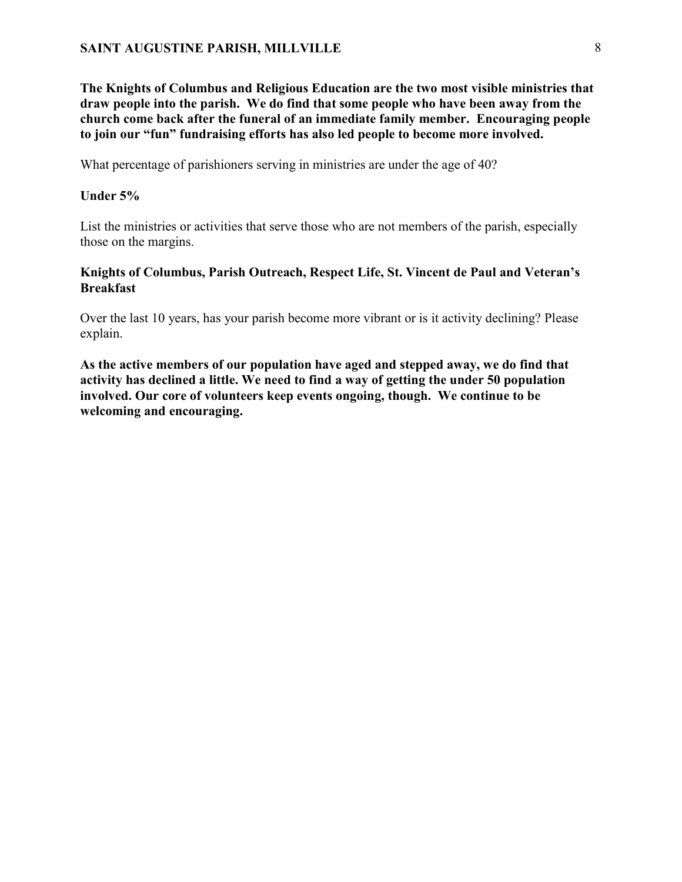The Knights of Columbus and Religious Education are the two most visible ministries that draw people into the parish. We do find that some people who have been away from the church come back after the funeral of an immediate family member. Encouraging people to join our "fun" fundraising efforts has also led people to become more involved.

What percentage of parishioners serving in ministries are under the age of 40?

#### Under 5%

List the ministries or activities that serve those who are not members of the parish, especially those on the margins.

### Knights of Columbus, Parish Outreach, Respect Life, St. Vincent de Paul and Veteran's Breakfast

Over the last 10 years, has your parish become more vibrant or is it activity declining? Please explain.

As the active members of our population have aged and stepped away, we do find that activity has declined a little. We need to find a way of getting the under 50 population involved. Our core of volunteers keep events ongoing, though. We continue to be welcoming and encouraging.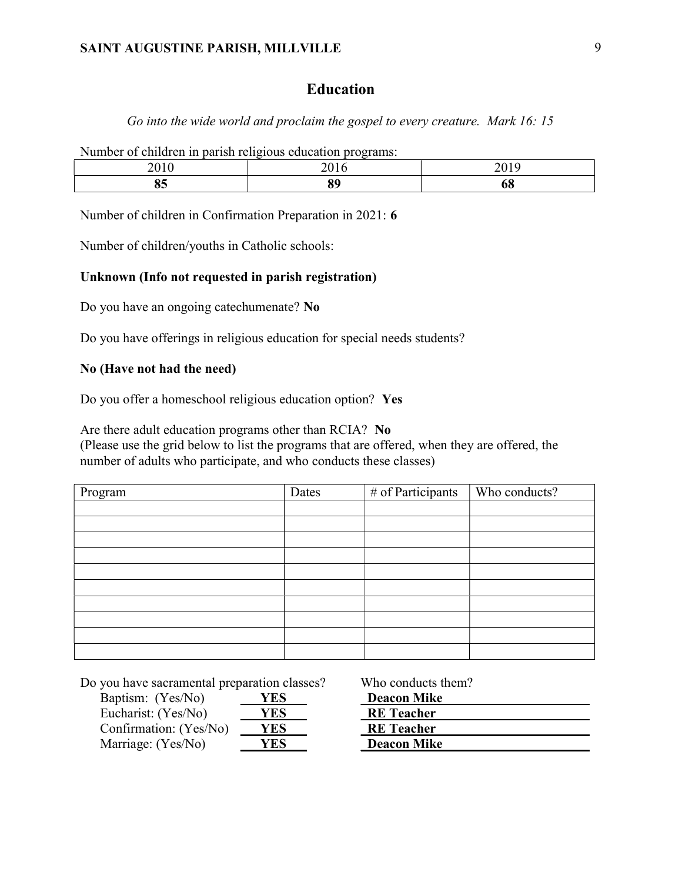## Education

Go into the wide world and proclaim the gospel to every creature. Mark 16: 15

Number of children in parish religious education programs:

| $\sim$ | $\sim$ | _____ |
|--------|--------|-------|
|        |        |       |

Number of children in Confirmation Preparation in 2021: 6

Number of children/youths in Catholic schools:

#### Unknown (Info not requested in parish registration)

Do you have an ongoing catechumenate? No

Do you have offerings in religious education for special needs students?

#### No (Have not had the need)

Do you offer a homeschool religious education option? Yes

Are there adult education programs other than RCIA? No

(Please use the grid below to list the programs that are offered, when they are offered, the number of adults who participate, and who conducts these classes)

| Program | Dates | # of Participants | Who conducts? |
|---------|-------|-------------------|---------------|
|         |       |                   |               |
|         |       |                   |               |
|         |       |                   |               |
|         |       |                   |               |
|         |       |                   |               |
|         |       |                   |               |
|         |       |                   |               |
|         |       |                   |               |
|         |       |                   |               |
|         |       |                   |               |

Do you have sacramental preparation classes? Who conducts them?

| Baptism: (Yes/No)      | YES        |
|------------------------|------------|
| Eucharist: (Yes/No)    | YES        |
| Confirmation: (Yes/No) | <b>YES</b> |
| Marriage: (Yes/No)     | YES        |

| Baptism: (Yes/No)      | YES        | <b>Deacon Mike</b> |
|------------------------|------------|--------------------|
| Eucharist: (Yes/No)    | <b>YES</b> | <b>RE</b> Teacher  |
| Confirmation: (Yes/No) | YES        | <b>RE</b> Teacher  |
| Marriage: (Yes/No)     | 7ES        | <b>Deacon Mike</b> |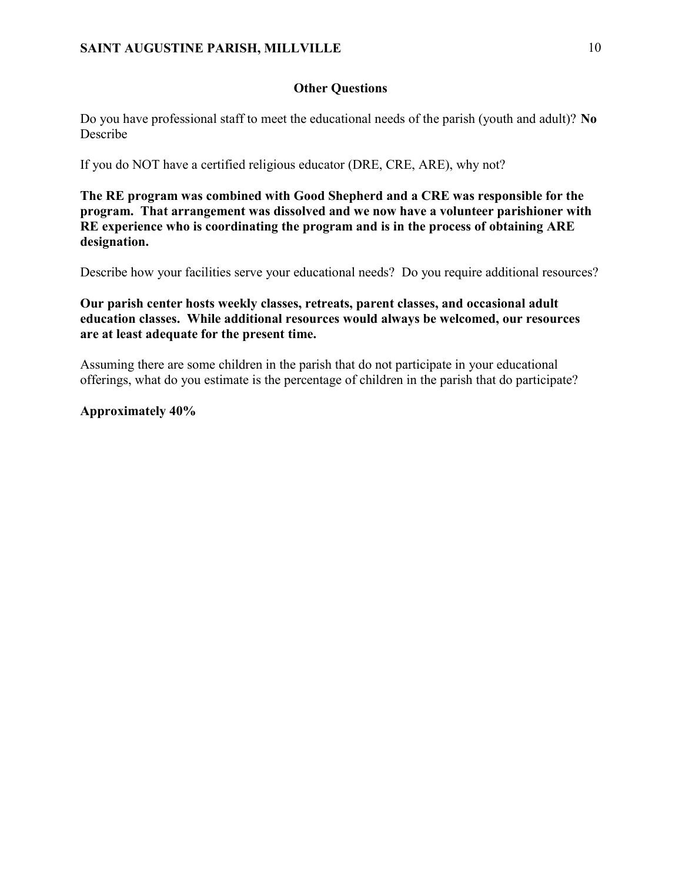### Other Questions

Do you have professional staff to meet the educational needs of the parish (youth and adult)? No Describe

If you do NOT have a certified religious educator (DRE, CRE, ARE), why not?

The RE program was combined with Good Shepherd and a CRE was responsible for the program. That arrangement was dissolved and we now have a volunteer parishioner with RE experience who is coordinating the program and is in the process of obtaining ARE designation.

Describe how your facilities serve your educational needs? Do you require additional resources?

Our parish center hosts weekly classes, retreats, parent classes, and occasional adult education classes. While additional resources would always be welcomed, our resources are at least adequate for the present time.

Assuming there are some children in the parish that do not participate in your educational offerings, what do you estimate is the percentage of children in the parish that do participate?

### Approximately 40%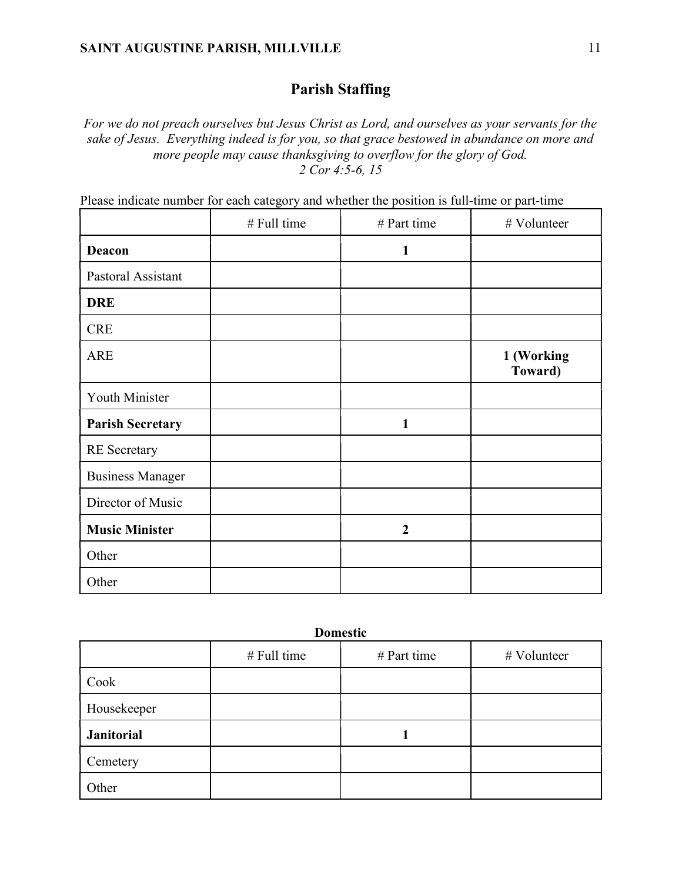# Parish Staffing

For we do not preach ourselves but Jesus Christ as Lord, and ourselves as your servants for the sake of Jesus. Everything indeed is for you, so that grace bestowed in abundance on more and more people may cause thanksgiving to overflow for the glory of God. 2 Cor 4:5-6, 15

|                         | # Full time | # Part time    | # Volunteer           |  |
|-------------------------|-------------|----------------|-----------------------|--|
| <b>Deacon</b>           |             | $\mathbf{1}$   |                       |  |
| Pastoral Assistant      |             |                |                       |  |
| <b>DRE</b>              |             |                |                       |  |
| <b>CRE</b>              |             |                |                       |  |
| <b>ARE</b>              |             |                | 1 (Working<br>Toward) |  |
| Youth Minister          |             |                |                       |  |
| <b>Parish Secretary</b> |             | $\mathbf{1}$   |                       |  |
| <b>RE</b> Secretary     |             |                |                       |  |
| <b>Business Manager</b> |             |                |                       |  |
| Director of Music       |             |                |                       |  |
| <b>Music Minister</b>   |             | $\overline{2}$ |                       |  |
| Other                   |             |                |                       |  |
| Other                   |             |                |                       |  |

Please indicate number for each category and whether the position is full-time or part-time

| <b>Domestic</b>   |               |               |             |  |  |  |
|-------------------|---------------|---------------|-------------|--|--|--|
|                   | $#$ Full time | $#$ Part time | # Volunteer |  |  |  |
| Cook              |               |               |             |  |  |  |
| Housekeeper       |               |               |             |  |  |  |
| <b>Janitorial</b> |               |               |             |  |  |  |
| Cemetery          |               |               |             |  |  |  |
| Other             |               |               |             |  |  |  |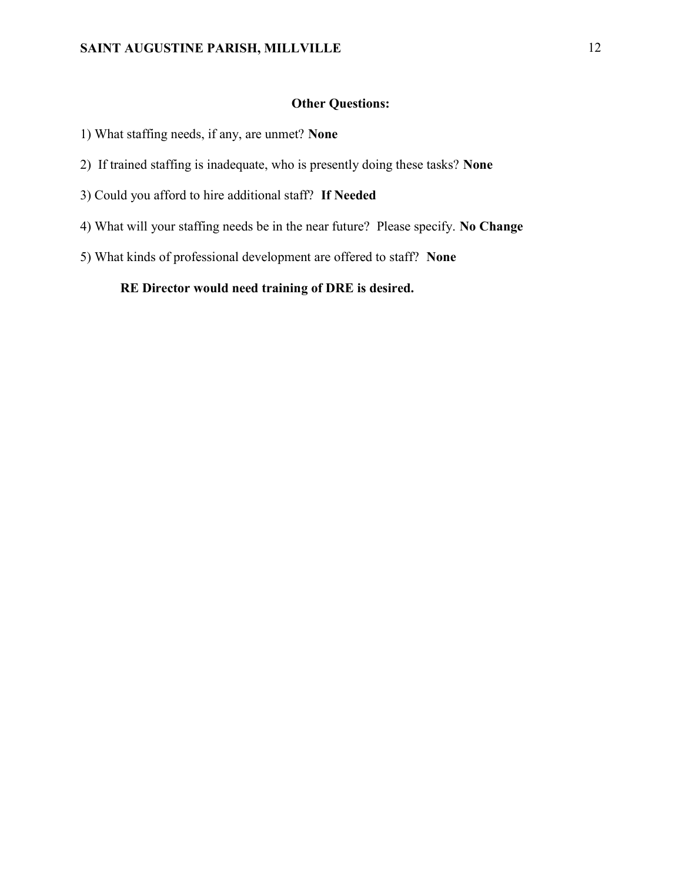### Other Questions:

- 1) What staffing needs, if any, are unmet? None
- 2) If trained staffing is inadequate, who is presently doing these tasks? None
- 3) Could you afford to hire additional staff? If Needed
- 4) What will your staffing needs be in the near future? Please specify. No Change
- 5) What kinds of professional development are offered to staff? None

### RE Director would need training of DRE is desired.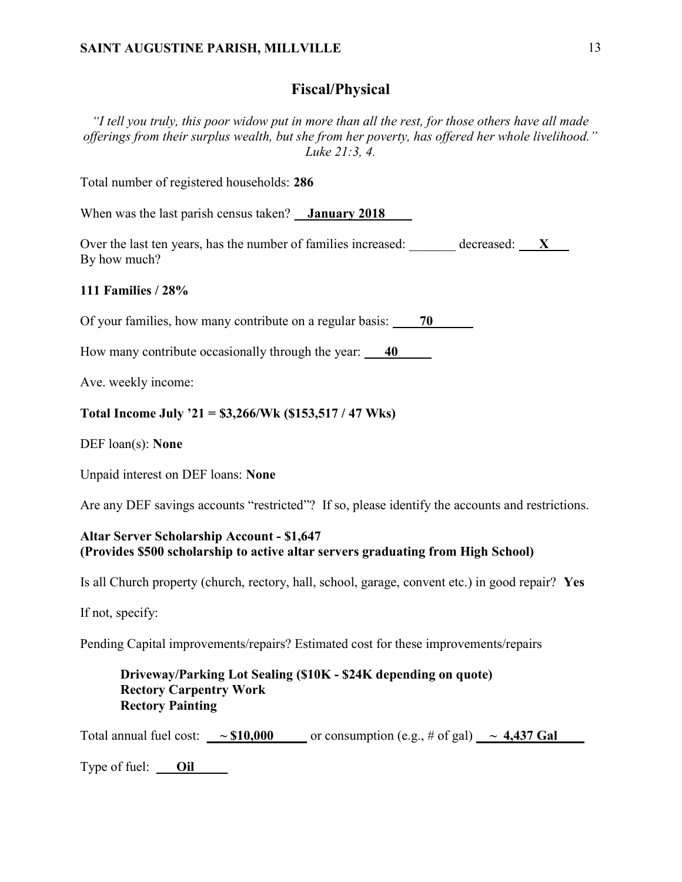### Fiscal/Physical

"I tell you truly, this poor widow put in more than all the rest, for those others have all made offerings from their surplus wealth, but she from her poverty, has offered her whole livelihood." Luke 21:3, 4.

Total number of registered households: 286

When was the last parish census taken? **January 2018** 

Over the last ten years, has the number of families increased:  $\frac{1}{\sqrt{2}}$  decreased:  $\frac{1}{\sqrt{2}}$ By how much?

#### 111 Families / 28%

Of your families, how many contribute on a regular basis:  $\qquad 70$ 

How many contribute occasionally through the year:  $\frac{40}{20}$ 

Ave. weekly income:

#### Total Income July '21 = \$3,266/Wk (\$153,517 / 47 Wks)

DEF loan(s): **None** 

Unpaid interest on DEF loans: None

Are any DEF savings accounts "restricted"? If so, please identify the accounts and restrictions.

#### Altar Server Scholarship Account - \$1,647 (Provides \$500 scholarship to active altar servers graduating from High School)

Is all Church property (church, rectory, hall, school, garage, convent etc.) in good repair? Yes

If not, specify:

Pending Capital improvements/repairs? Estimated cost for these improvements/repairs

### Driveway/Parking Lot Sealing (\$10K - \$24K depending on quote) Rectory Carpentry Work Rectory Painting

Total annual fuel cost:  $\sim $10,000$  or consumption (e.g., # of gal)  $\sim 4,437$  Gal

Type of fuel: **Oil**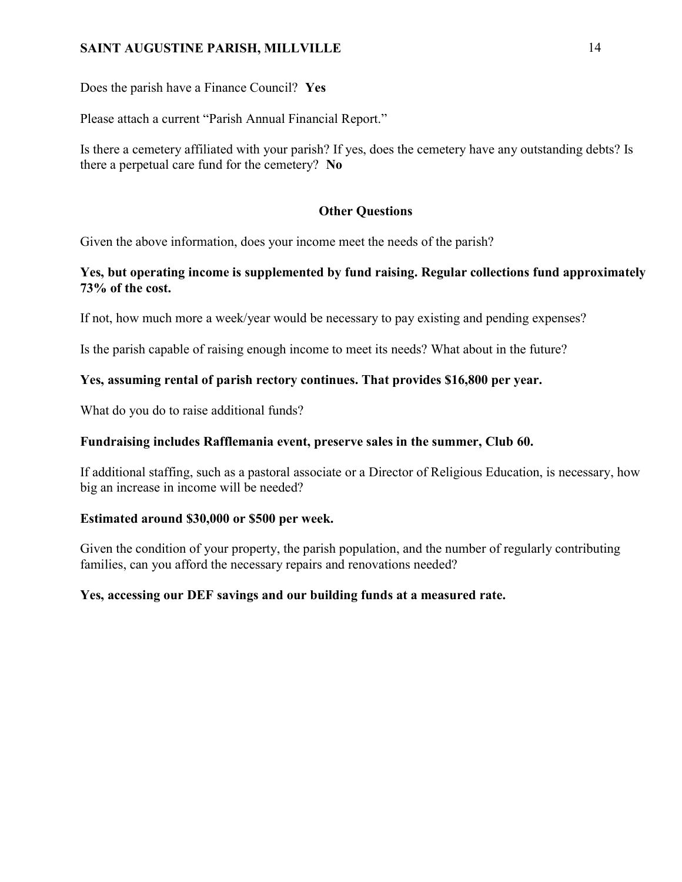Does the parish have a Finance Council? Yes

Please attach a current "Parish Annual Financial Report."

Is there a cemetery affiliated with your parish? If yes, does the cemetery have any outstanding debts? Is there a perpetual care fund for the cemetery? No

### Other Questions

Given the above information, does your income meet the needs of the parish?

### Yes, but operating income is supplemented by fund raising. Regular collections fund approximately 73% of the cost.

If not, how much more a week/year would be necessary to pay existing and pending expenses?

Is the parish capable of raising enough income to meet its needs? What about in the future?

## Yes, assuming rental of parish rectory continues. That provides \$16,800 per year.

What do you do to raise additional funds?

### Fundraising includes Rafflemania event, preserve sales in the summer, Club 60.

If additional staffing, such as a pastoral associate or a Director of Religious Education, is necessary, how big an increase in income will be needed?

### Estimated around \$30,000 or \$500 per week.

Given the condition of your property, the parish population, and the number of regularly contributing families, can you afford the necessary repairs and renovations needed?

## Yes, accessing our DEF savings and our building funds at a measured rate.